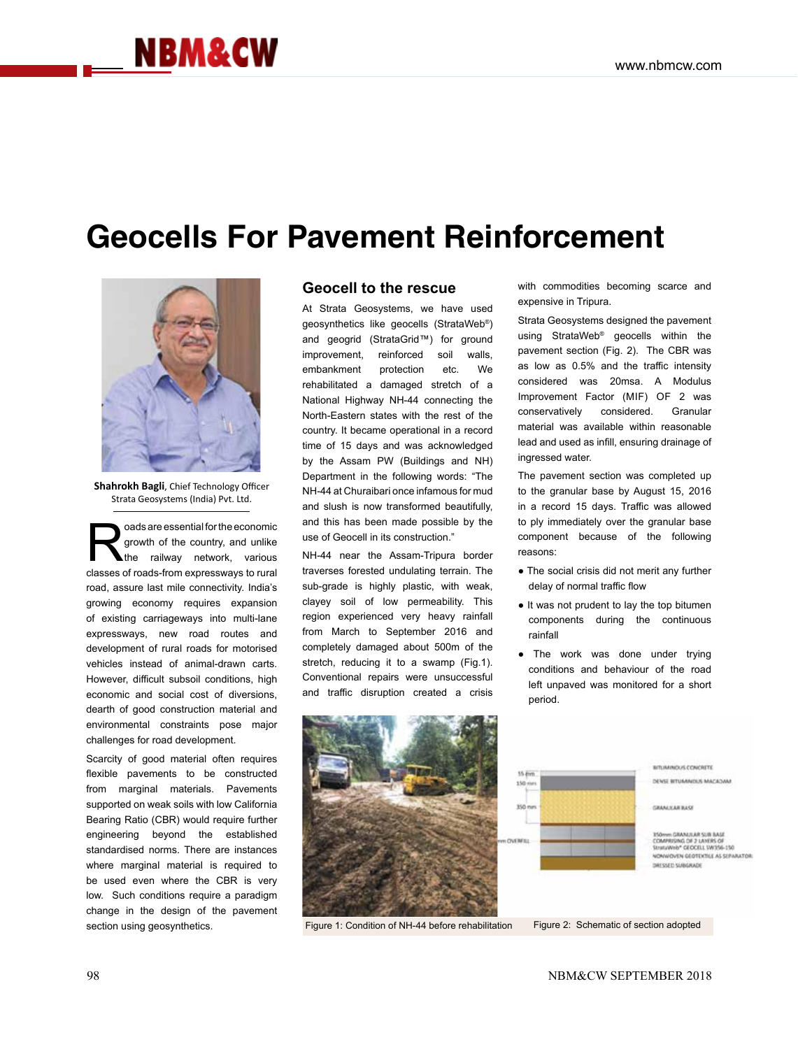## **NBM&CW**

## **Geocells For Pavement Reinforcement**



**Shahrokh Bagli**, Chief Technology Officer Strata Geosystems (India) Pvt. Ltd.

solar are essential for the economic<br>
growth of the country, and unlike<br>
the railway network, various<br>
classes of roads from expressways to rural growth of the country, and unlike classes of roads-from expressways to rural road, assure last mile connectivity. India's growing economy requires expansion of existing carriageways into multi-lane expressways, new road routes and development of rural roads for motorised vehicles instead of animal-drawn carts. However, difficult subsoil conditions, high economic and social cost of diversions, dearth of good construction material and environmental constraints pose major challenges for road development.

Scarcity of good material often requires flexible pavements to be constructed from marginal materials. Pavements supported on weak soils with low California Bearing Ratio (CBR) would require further engineering beyond the established standardised norms. There are instances where marginal material is required to be used even where the CBR is very low. Such conditions require a paradigm change in the design of the pavement section using geosynthetics.

## **Geocell to the rescue**

At Strata Geosystems, we have used geosynthetics like geocells (StrataWeb®) and geogrid (StrataGrid™) for ground improvement, reinforced soil walls, embankment protection etc. We rehabilitated a damaged stretch of a National Highway NH-44 connecting the North-Eastern states with the rest of the country. It became operational in a record time of 15 days and was acknowledged by the Assam PW (Buildings and NH) Department in the following words: "The NH-44 at Churaibari once infamous for mud and slush is now transformed beautifully, and this has been made possible by the use of Geocell in its construction."

NH-44 near the Assam-Tripura border traverses forested undulating terrain. The sub-grade is highly plastic, with weak, clayey soil of low permeability. This region experienced very heavy rainfall from March to September 2016 and completely damaged about 500m of the stretch, reducing it to a swamp (Fig.1). Conventional repairs were unsuccessful and traffic disruption created a crisis with commodities becoming scarce and expensive in Tripura.

Strata Geosystems designed the pavement using StrataWeb® geocells within the pavement section (Fig. 2). The CBR was as low as 0.5% and the traffic intensity considered was 20msa. A Modulus Improvement Factor (MIF) OF 2 was conservatively considered. Granular material was available within reasonable lead and used as infill, ensuring drainage of ingressed water.

The pavement section was completed up to the granular base by August 15, 2016 in a record 15 days. Traffic was allowed to ply immediately over the granular base component because of the following reasons:

- The social crisis did not merit any further delay of normal traffic flow
- It was not prudent to lay the top bitumen components during the continuous rainfall
- The work was done under trying conditions and behaviour of the road left unpaved was monitored for a short period.



Figure 1: Condition of NH-44 before rehabilitation Figure 2: Schematic of section adopted



**BITUARNICKAS CONCRETE** DENSE BITURANOUS MACADAM

CRANITARIAS

HA GRANULAR SUR AAS COMPRISING OF 2 LANERS OF<br>Stratawing Geocell Swits6-150 **VONWOVEN GEOTOCYLE AS SEPARATOR** DRESSED SUBGRADE